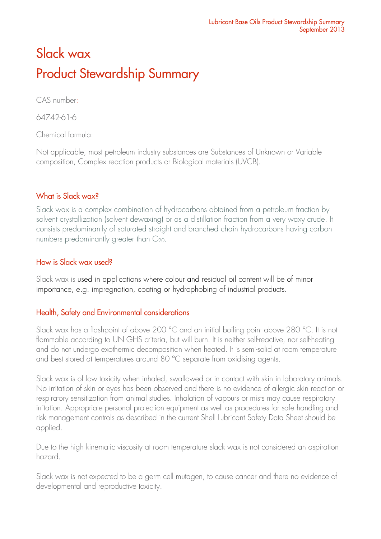# Slack wax Product Stewardship Summary

CAS number:

64742-61-6

Chemical formula:

Not applicable, most petroleum industry substances are Substances of Unknown or Variable composition, Complex reaction products or Biological materials (UVCB).

# What is Slack wax?

Slack wax is a complex combination of hydrocarbons obtained from a petroleum fraction by solvent crystallization (solvent dewaxing) or as a distillation fraction from a very waxy crude. It consists predominantly of saturated straight and branched chain hydrocarbons having carbon numbers predominantly greater than  $C_{20}$ .

# How is Slack wax used?

Slack wax is used in applications where colour and residual oil content will be of minor importance, e.g. impregnation, coating or hydrophobing of industrial products.

# Health, Safety and Environmental considerations

Slack wax has a flashpoint of above 200 °C and an initial boiling point above 280 °C. It is not flammable according to UN GHS criteria, but will burn. It is neither self-reactive, nor self-heating and do not undergo exothermic decomposition when heated. It is semi-solid at room temperature and best stored at temperatures around 80 °C separate from oxidising agents.

Slack wax is of low toxicity when inhaled, swallowed or in contact with skin in laboratory animals. No irritation of skin or eyes has been observed and there is no evidence of allergic skin reaction or respiratory sensitization from animal studies. Inhalation of vapours or mists may cause respiratory irritation. Appropriate personal protection equipment as well as procedures for safe handling and risk management controls as described in the current Shell Lubricant Safety Data Sheet should be applied.

Due to the high kinematic viscosity at room temperature slack wax is not considered an aspiration hazard.

Slack wax is not expected to be a germ cell mutagen, to cause cancer and there no evidence of developmental and reproductive toxicity.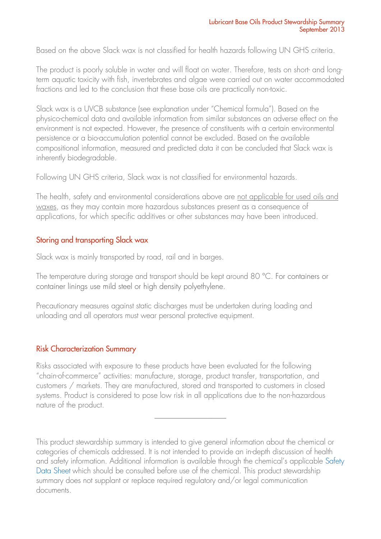Based on the above Slack wax is not classified for health hazards following UN GHS criteria.

The product is poorly soluble in water and will float on water. Therefore, tests on short- and longterm aquatic toxicity with fish, invertebrates and algae were carried out on water accommodated fractions and led to the conclusion that these base oils are practically non-toxic.

Slack wax is a UVCB substance (see explanation under "Chemical formula"). Based on the physico-chemical data and available information from similar substances an adverse effect on the environment is not expected. However, the presence of constituents with a certain environmental persistence or a bio-accumulation potential cannot be excluded. Based on the available compositional information, measured and predicted data it can be concluded that Slack wax is inherently biodegradable.

Following UN GHS criteria, Slack wax is not classified for environmental hazards.

The health, safety and environmental considerations above are not applicable for used oils and waxes, as they may contain more hazardous substances present as a consequence of applications, for which specific additives or other substances may have been introduced.

## Storing and transporting Slack wax

Slack wax is mainly transported by road, rail and in barges.

The temperature during storage and transport should be kept around 80 °C. For containers or container linings use mild steel or high density polyethylene.

Precautionary measures against static discharges must be undertaken during loading and unloading and all operators must wear personal protective equipment.

## Risk Characterization Summary

Risks associated with exposure to these products have been evaluated for the following "chain-of-commerce" activities: manufacture, storage, product transfer, transportation, and customers / markets. They are manufactured, stored and transported to customers in closed systems. Product is considered to pose low risk in all applications due to the non-hazardous nature of the product.

This product stewardship summary is intended to give general information about the chemical or categories of chemicals addressed. It is not intended to provide an in-depth discussion of health and safety information. Additional information is available through the chemical's applicable [Safety](http://www.epc.shell.com/)  [Data Sheet](http://www.epc.shell.com/) which should be consulted before use of the chemical. This product stewardship summary does not supplant or replace required regulatory and/or legal communication documents.

\_\_\_\_\_\_\_\_\_\_\_\_\_\_\_\_\_\_\_